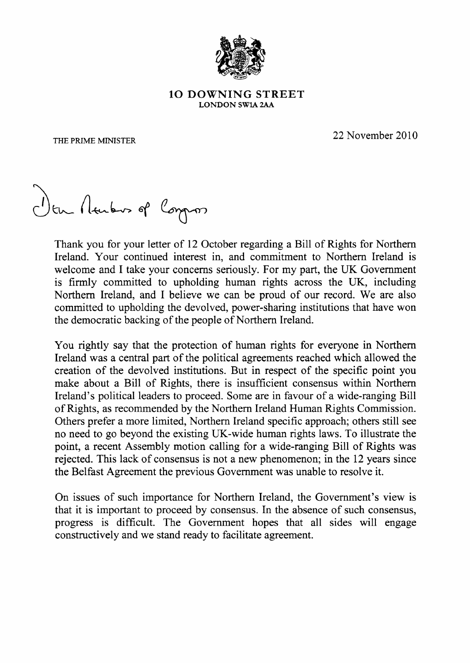

## 1O DOWNING STREET LONDON SW1A 2AA

THE PRIME MINISTER

 $\sim$  2 22 November 2010

Ven Acubus of Compos

Thank you for your letter of 12 October regarding a Bill of Rights for Northern Ireland. Your continued interest in, and commitment to Northern Ireland is welcome and I take your concerns seriously. For my part, the UK Government is firmly committed to upholding human rights across the UK, including Northern Ireland, and I believe we can be proud of our record. We are also committed to upholding the devolved, power-sharing institutions that have won the democratic backing of the people of Northern Ireland.

You rightly say that the protection of human rights for everyone in Northern Ireland was a central part of the political agreements reached which allowed the creation of the devolved institutions. But in respect of the specific point you make about a Bill of Rights, there is insufficient consensus within Northern Ireland's political leaders to proceed. Some are in favour of a wide-ranging Bill of Rights, as recommended by the Northern Ireland Human Rights Commission. Others prefer a more limited, Northern Ireland specific approach; others still see no need to go beyond the existing UK-wide human rights laws. To illustrate the point, a recent Assembly motion calling for a wide-ranging Bill of Rights was rejected. This lack of consensus is not a new phenomenon; in the 12 years since the Belfast Agreement the previous Government was unable to resolve it.

On issues of such importance for Northern Ireland, the Government's view is that it is important to proceed by consensus. In the absence of such consensus, progress is difficult. The Government hopes that all sides will engage constructively and we stand ready to facilitate agreement.